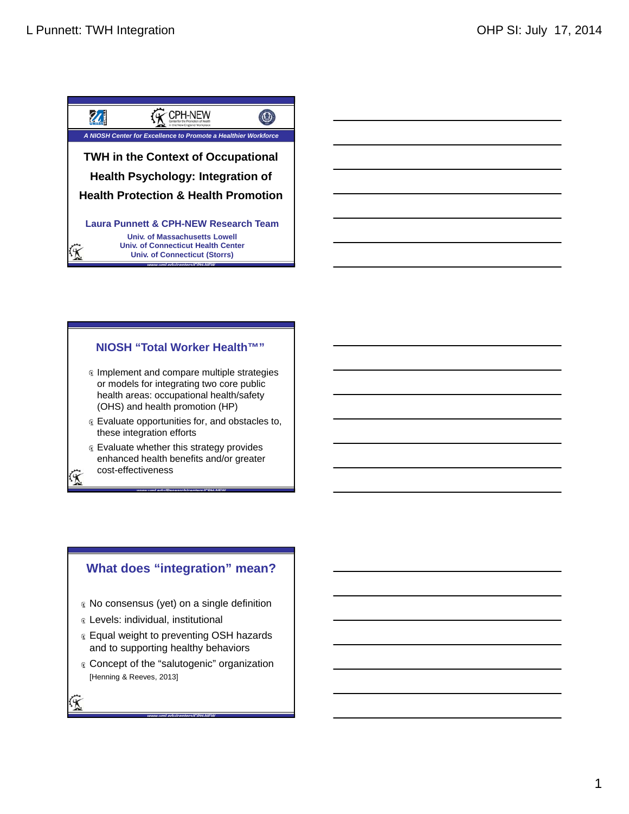



# **NIOSH "Total Worker Health™"**

- **Coll Worker I**<br>**and compare munitipate in the properties for a state of the properties for a state ealth benefits and the state ealth benefits and the state of the state of the state of the state of the state of the state** Implement and compare multiple strategies or models for integrating two core public health areas: occupational health/safety (OHS) and health promotion (HP)
- Evaluate opportunities for, and obstacles to, these integration efforts
- **Evaluate whether this strategy provides** enhanced health benefits and/or greater cost-effectiveness

*www.uml.edu/Research/centers/CPH-NEW*

# **What does "integration" mean?**

- No consensus (yet) on a single definition
- Levels: individual, institutional
- **Equal weight to preventing OSH hazards** and to supporting healthy behaviors
- Concept of the "salutogenic" organization [Henning & Reeves, 2013]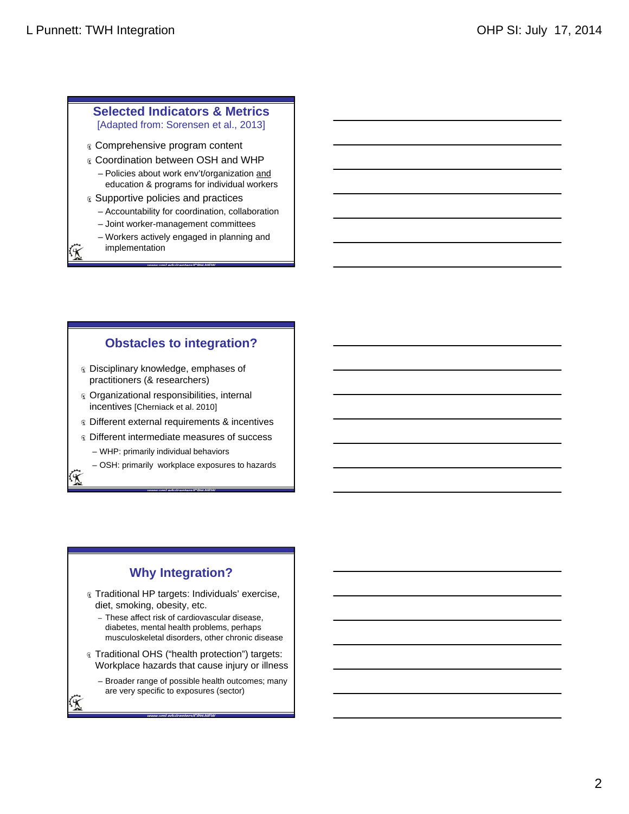# **Selected Indicators & Metrics**

[Adapted from: Sorensen et al., 2013]

- Comprehensive program content
- Coordination between OSH and WHP
	- Policies about work env't/organization and education & programs for individual workers
- **& Supportive policies and practices** 
	- Accountability for coordination, collaboration
	- Joint worker-management committees
	- Workers actively engaged in planning and implementation

*www.uml.edu/centers/CPH-NEW*

**Obstacles to integration?**

- Disciplinary knowledge, emphases of practitioners (& researchers)
- Organizational responsibilities, internal incentives [Cherniack et al. 2010]
- **« Different external requirements & incentives**
- $\infty$  **Different intermediate measures of success** 
	- WHP: primarily individual behaviors
	- OSH: primarily workplace exposures to hazards

*www.uml.edu/centers/CPH-NEW*

# **Why Integration?**

- Traditional HP targets: Individuals' exercise, diet, smoking, obesity, etc.
	- These affect risk of cardiovascular disease, diabetes, mental health problems, perhaps musculoskeletal disorders, other chronic disease
- Traditional OHS ("health protection") targets: Workplace hazards that cause injury or illness

*www.uml.edu/centers/CPH-NEW*

– Broader range of possible health outcomes; many are very specific to exposures (sector)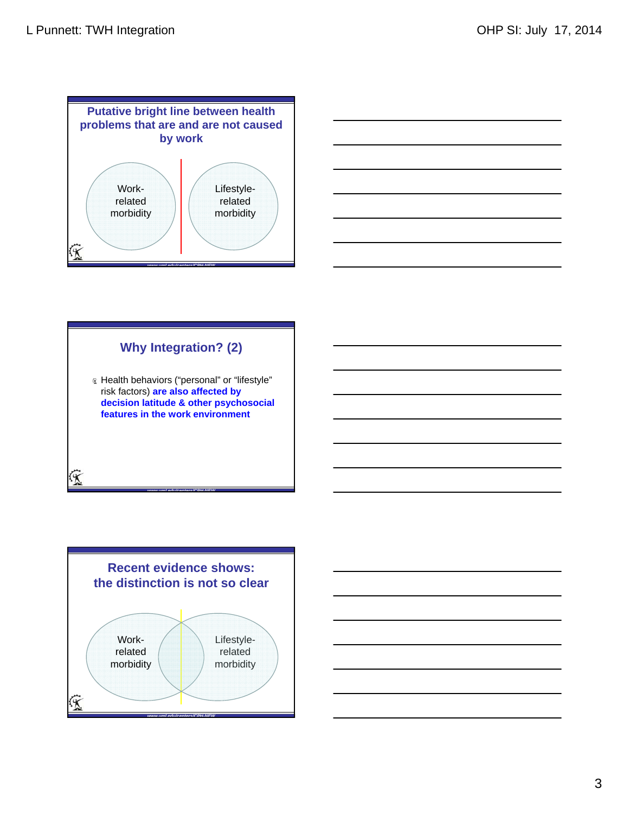



# **Why Integration? (2)** Health behaviors ("personal" or "lifestyle"

risk factors) **are also affected by decision latitude & other psychosocial features in the work environment**



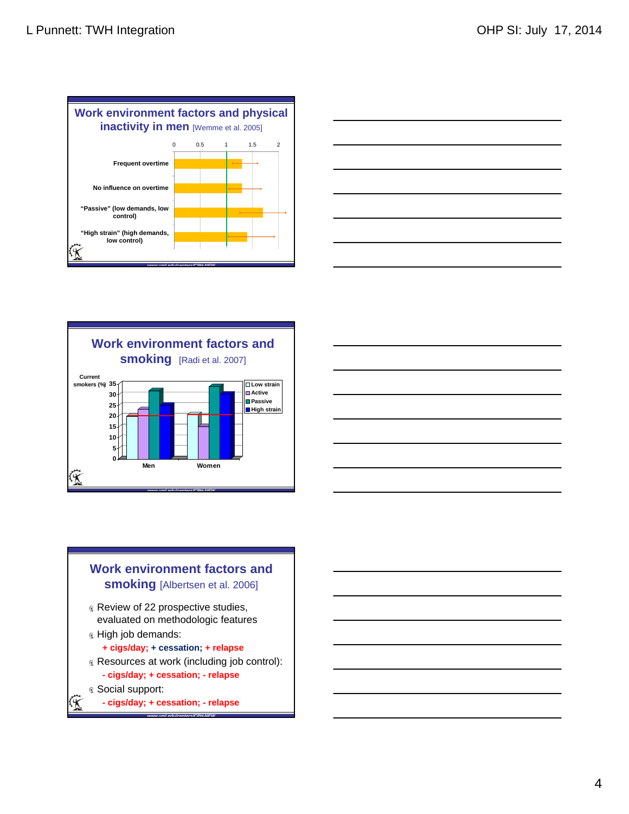







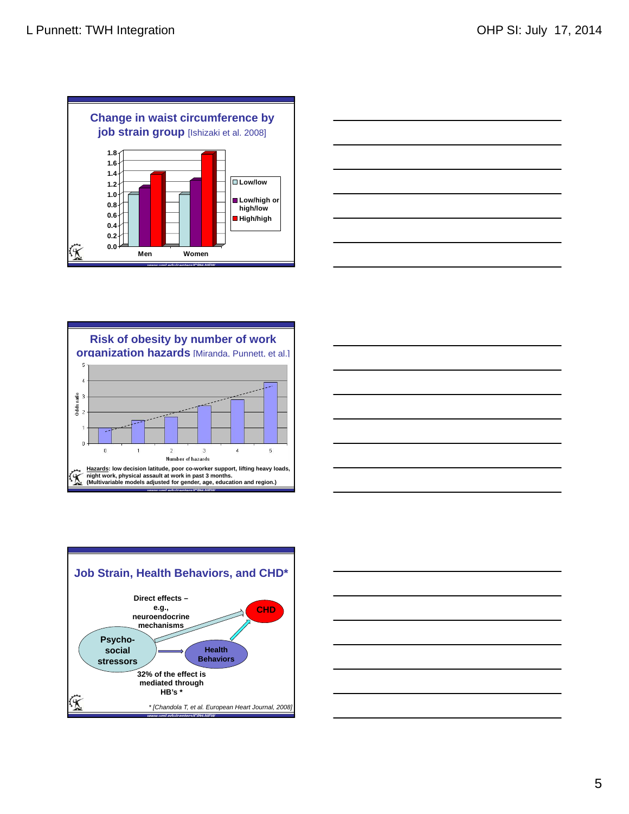![](_page_4_Figure_2.jpeg)

![](_page_4_Figure_3.jpeg)

![](_page_4_Figure_4.jpeg)

![](_page_4_Figure_5.jpeg)

![](_page_4_Figure_6.jpeg)

![](_page_4_Figure_7.jpeg)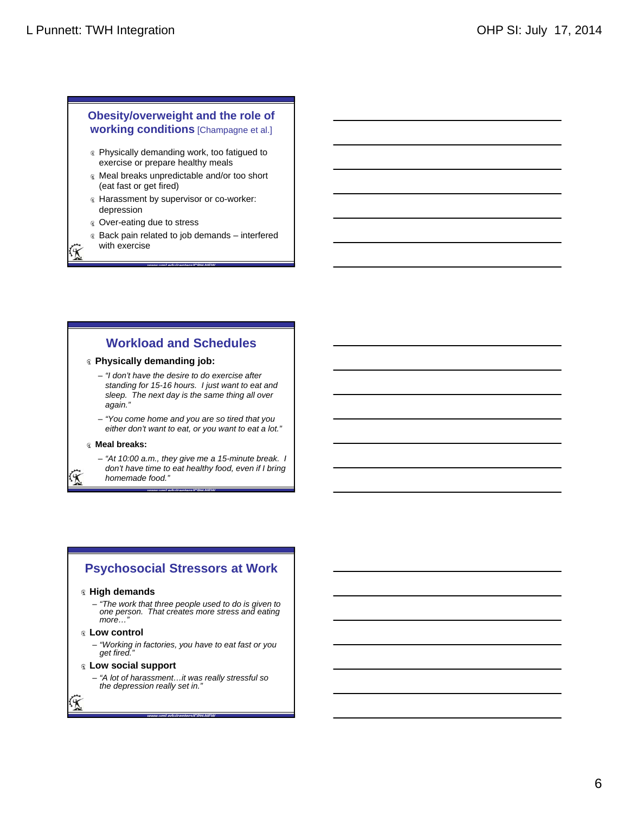### **Obesity/overweight and the role of working conditions** [Champagne et al.]

- **R** Physically demanding work, too fatigued to exercise or prepare healthy meals
- Meal breaks unpredictable and/or too short (eat fast or get fired)
- Harassment by supervisor or co-worker: depression
- Over-eating due to stress

with exercise

Back pain related to job demands – interfered

*www.uml.edu/centers/CPH-NEW*

# **Workload and Schedules**

#### **Physically demanding job:**

- *"I don't have the desire to do exercise after standing for 15-16 hours. I just want to eat and sleep. The next day is the same thing all over again."*
- *"You come home and you are so tired that you either don't want to eat, or you want to eat a lot."*

#### **Meal breaks:**

– *"At 10:00 a.m., they give me a 15-minute break. I don't have time to eat healthy food, even if I bring* 

*homemade food."*

# **Psychosocial Stressors at Work**

*www.uml.edu/centers/CPH-NEW*

### **High demands**

– *"The work that three people used to do is given to one person. That creates more stress and eating more…"*

### **Low control**

– *"Working in factories, you have to eat fast or you get fired."*

#### **Low social support**

– *"A lot of harassment…it was really stressful so the depression really set in."*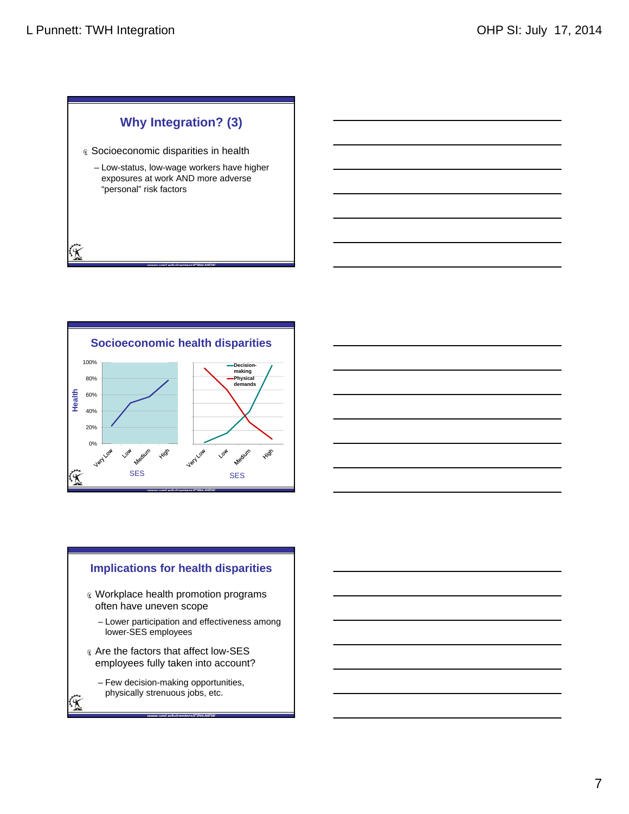俊

# **Why Integration? (3)**

- **& Socioeconomic disparities in health** 
	- Low-status, low-wage workers have higher exposures at work AND more adverse "personal" risk factors

*www.uml.edu/centers/CPH-NEW*

![](_page_6_Figure_5.jpeg)

![](_page_6_Figure_6.jpeg)

# **Implications for health disparities** Workplace health promotion programs often have uneven scope – Lower participation and effectiveness among lower-SES employees Are the factors that affect low-SES employees fully taken into account? – Few decision-making opportunities, physically strenuous jobs, etc.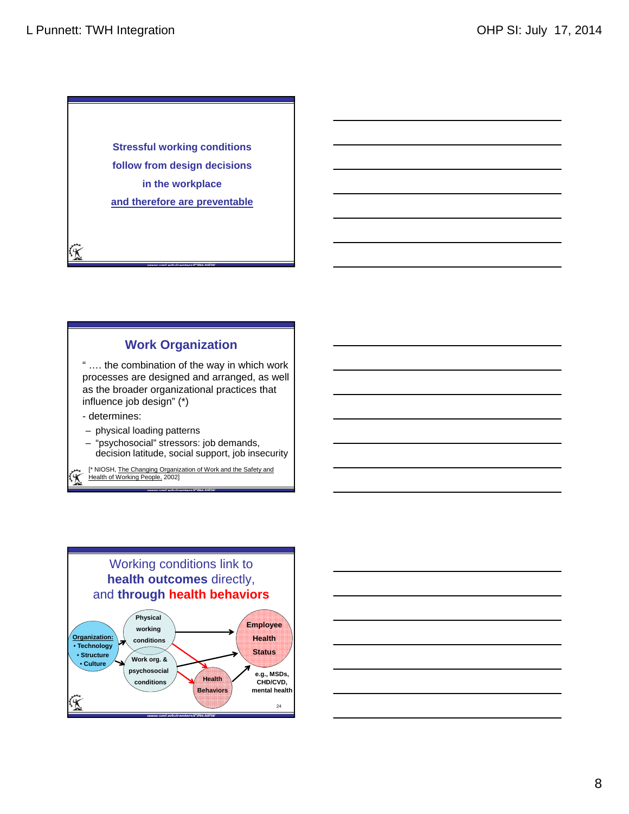**Stressful working conditions follow from design decisions in the workplace and therefore are preventable**

# **Work Organization**

*www.uml.edu/centers/CPH-NEW*

" …. the combination of the way in which work processes are designed and arranged, as well as the broader organizational practices that influence job design" (\*)

- determines:

俊

- physical loading patterns
- "psychosocial" stressors: job demands, decision latitude, social support, job insecurity

[\* NIOSH, The Changing Organization of Work and the Safety and Health of Working People, 2002]

![](_page_7_Figure_9.jpeg)

![](_page_7_Figure_10.jpeg)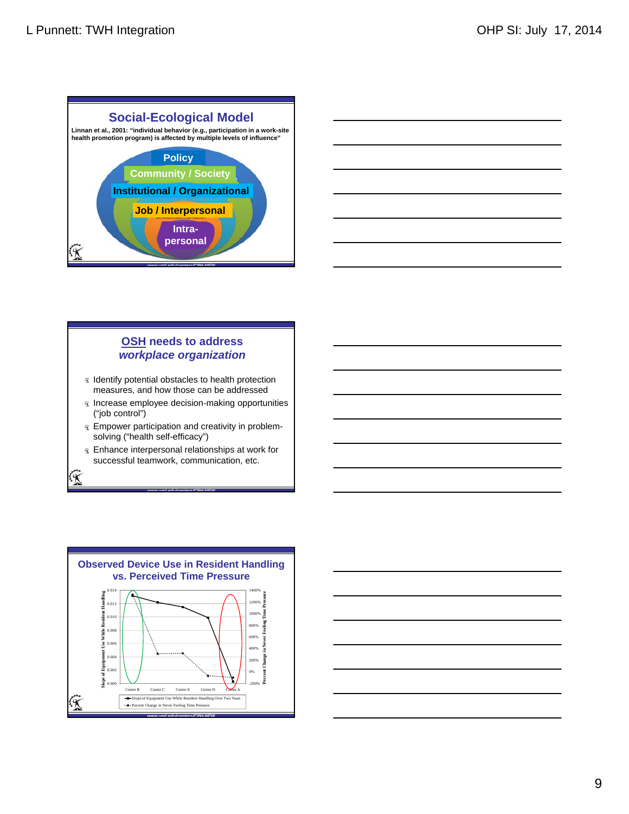![](_page_8_Figure_2.jpeg)

![](_page_8_Figure_3.jpeg)

# **OSH needs to address**  *workplace organization*

- In Identify potential obstacles to health protection measures, and how those can be addressed
- **Increase employee decision-making opportunities** ("job control")
- Empower participation and creativity in problemsolving ("health self-efficacy")
- Enhance interpersonal relationships at work for successful teamwork, communication, etc.

![](_page_8_Figure_9.jpeg)

![](_page_8_Figure_10.jpeg)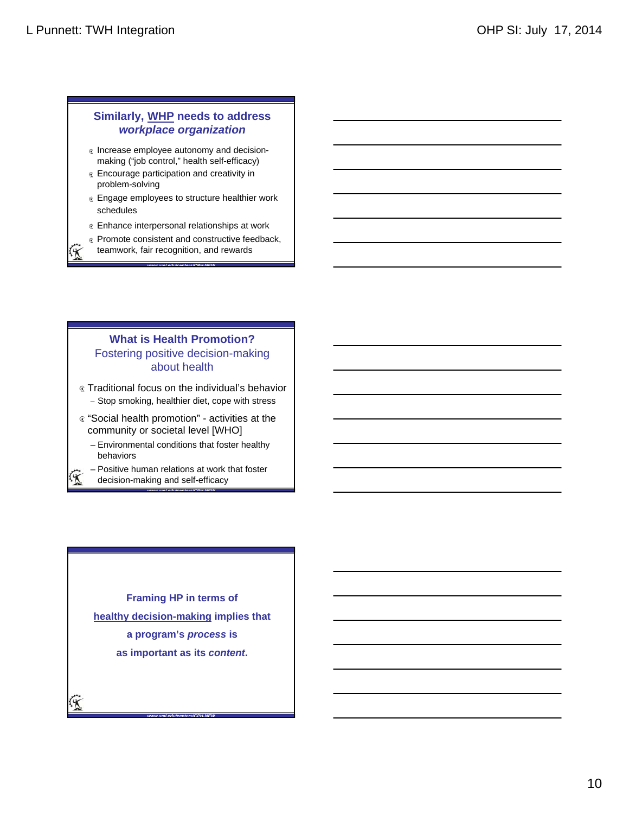## **Similarly, WHP needs to address**  *workplace organization*

- Increase employee autonomy and decisionmaking ("job control," health self-efficacy)
- Encourage participation and creativity in problem-solving
- **Engage employees to structure healthier work** schedules
- **Enhance interpersonal relationships at work**
- **R** Promote consistent and constructive feedback, teamwork, fair recognition, and rewards

*www.uml.edu/centers/CPH-NEW*

### **What is Health Promotion?** Fostering positive decision-making about health

- Traditional focus on the individual's behavior – Stop smoking, healthier diet, cope with stress
- "Social health promotion" activities at the community or societal level [WHO]
	- Environmental conditions that foster healthy behaviors

*www.uml.edu/centers/CPH-NEW*

- Positive human relations at work that foster
	- decision-making and self-efficacy

**Framing HP in terms of healthy decision-making implies that a program's** *process* **is as important as its** *content***.**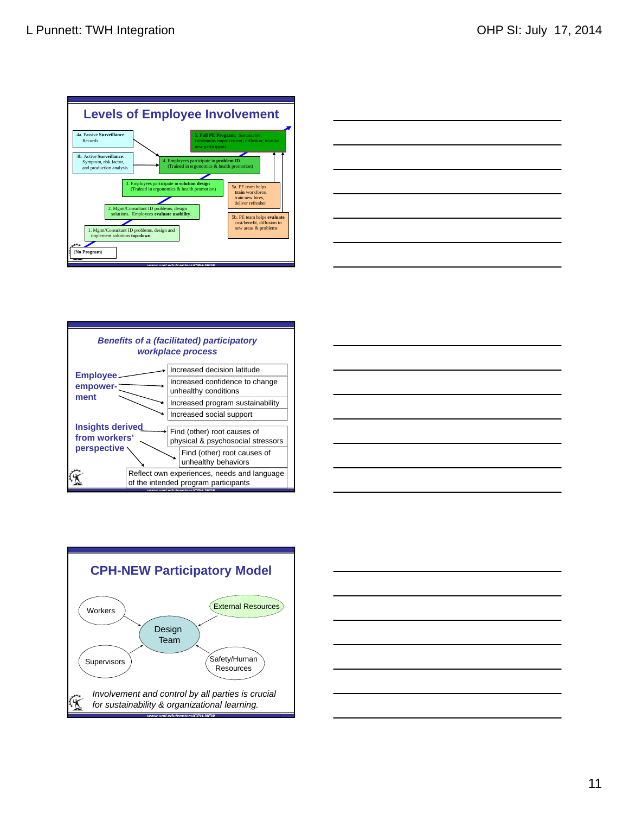![](_page_10_Figure_2.jpeg)

![](_page_10_Figure_3.jpeg)

![](_page_10_Figure_4.jpeg)

![](_page_10_Figure_5.jpeg)

![](_page_10_Figure_6.jpeg)

![](_page_10_Figure_7.jpeg)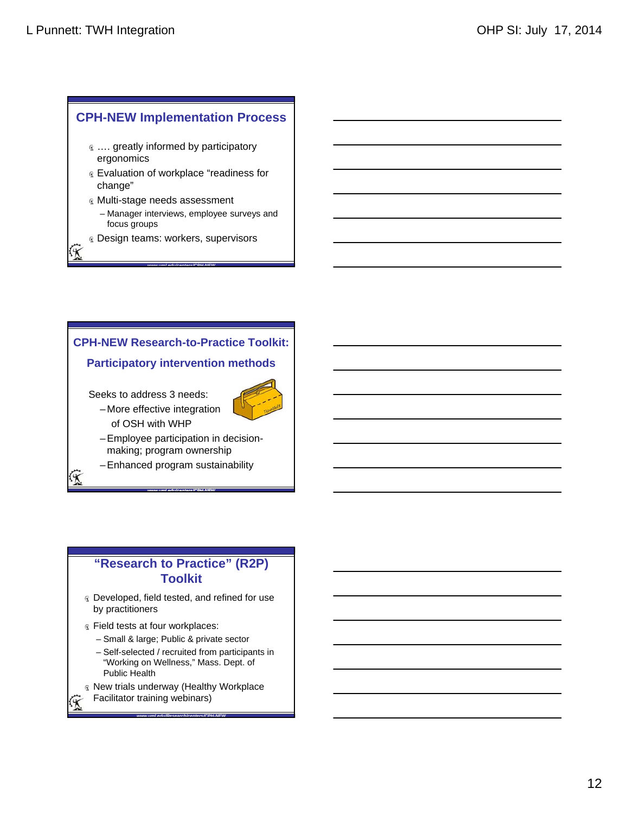# **CPH-NEW Implementation Process**

- $\infty$  .... greatly informed by participatory ergonomics
- Evaluation of workplace "readiness for change"
- Multi-stage needs assessment – Manager interviews, employee surveys and focus groups

*www.uml.edu/centers/CPH-NEW*

- *R* Design teams: workers, supervisors
- ζΚ

# **CPH-NEW Research-to-Practice Toolkit:**

### **Participatory intervention methods**

Seeks to address 3 needs:

![](_page_11_Picture_11.jpeg)

- More effective integration of OSH with WHP
- Employee participation in decisionmaking; program ownership

*www.uml.edu/centers/CPH-NEW*

– Enhanced program sustainability

# **"Research to Practice" (R2P) Toolkit**

- Developed, field tested, and refined for use by practitioners
- **Example 1** Field tests at four workplaces:
	- Small & large; Public & private sector
- **rch to Practice<br>** *Toolkit*<br> *W.* field tested, and refinners<br>
at four workplaces:<br>
large: Public & private<br>
cted / recruited from pa<br>
y on Wellness," Mass. I<br>
ealth<br>
underway (Healthy W<br>
training webinars) – Self-selected / recruited from participants in "Working on Wellness," Mass. Dept. of Public Health
- New trials underway (Healthy Workplace Facilitator training webinars)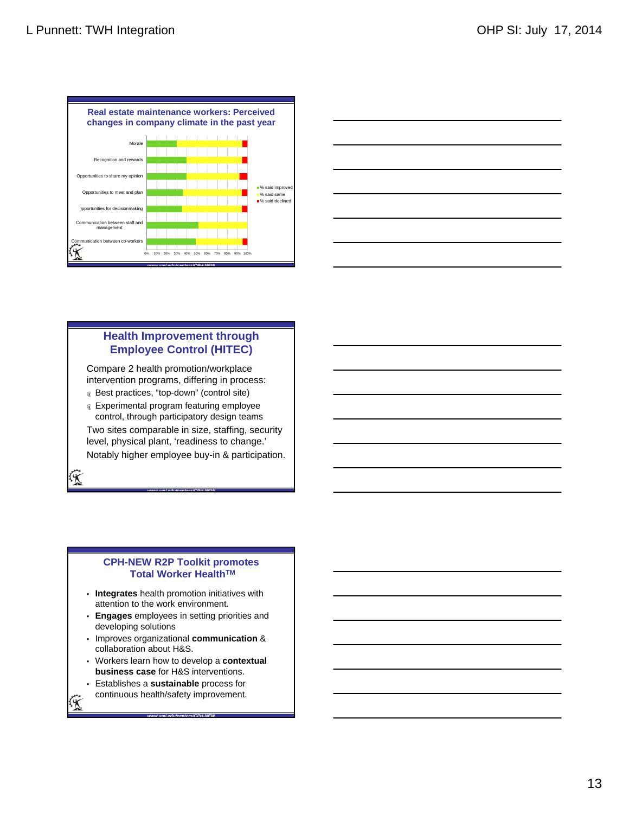![](_page_12_Figure_2.jpeg)

![](_page_12_Figure_3.jpeg)

## **Health Improvement through Employee Control (HITEC)**

Compare 2 health promotion/workplace intervention programs, differing in process:

- Best practices, "top-down" (control site)
- Experimental program featuring employee control, through participatory design teams

Two sites comparable in size, staffing, security level, physical plant, 'readiness to change.' Notably higher employee buy-in & participation.

*www.uml.edu/centers/CPH-NEW*

### **CPH-NEW R2P Toolkit promotes Total Worker HealthTM**

- **Integrates** health promotion initiatives with attention to the work environment.
- **Engages** employees in setting priorities and developing solutions
- Improves organizational **communication** & collaboration about H&S.
- Workers learn how to develop a **contextual business case** for H&S interventions.

*www.uml.edu/centers/CPH-NEW*

• Establishes a **sustainable** process for continuous health/safety improvement.